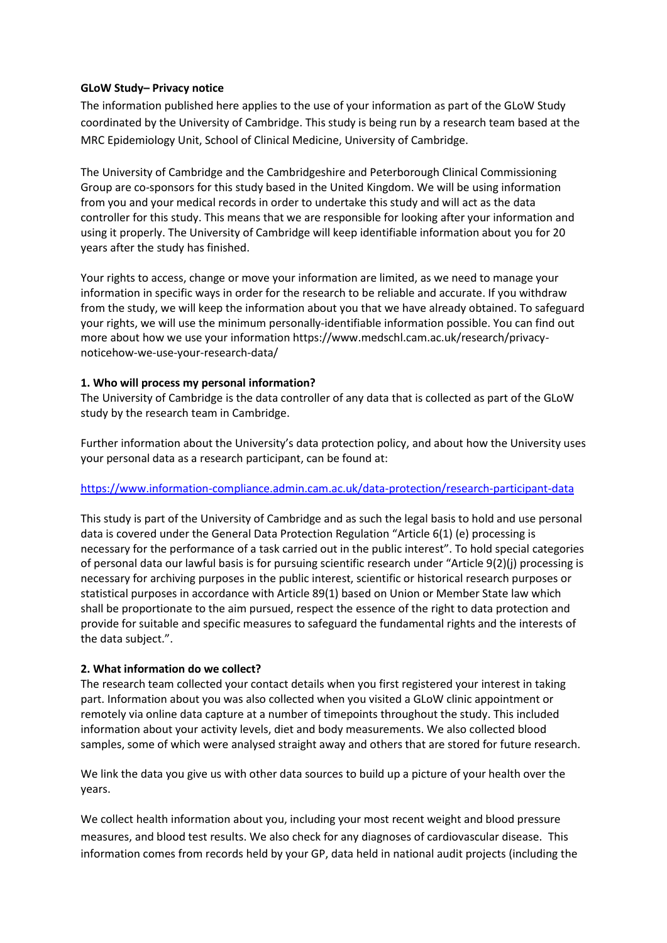### **GLoW Study– Privacy notice**

The information published here applies to the use of your information as part of the GLoW Study coordinated by the University of Cambridge. This study is being run by a research team based at the MRC Epidemiology Unit, School of Clinical Medicine, University of Cambridge.

The University of Cambridge and the Cambridgeshire and Peterborough Clinical Commissioning Group are co-sponsors for this study based in the United Kingdom. We will be using information from you and your medical records in order to undertake this study and will act as the data controller for this study. This means that we are responsible for looking after your information and using it properly. The University of Cambridge will keep identifiable information about you for 20 years after the study has finished.

Your rights to access, change or move your information are limited, as we need to manage your information in specific ways in order for the research to be reliable and accurate. If you withdraw from the study, we will keep the information about you that we have already obtained. To safeguard your rights, we will use the minimum personally-identifiable information possible. You can find out more about how we use your information https://www.medschl.cam.ac.uk/research/privacynoticehow-we-use-your-research-data/

## **1. Who will process my personal information?**

The University of Cambridge is the data controller of any data that is collected as part of the GLoW study by the research team in Cambridge.

Further information about the University's data protection policy, and about how the University uses your personal data as a research participant, can be found at:

# <https://www.information-compliance.admin.cam.ac.uk/data-protection/research-participant-data>

This study is part of the University of Cambridge and as such the legal basis to hold and use personal data is covered under the General Data Protection Regulation "Article 6(1) (e) processing is necessary for the performance of a task carried out in the public interest". To hold special categories of personal data our lawful basis is for pursuing scientific research under "Article 9(2)(j) processing is necessary for archiving purposes in the public interest, scientific or historical research purposes or statistical purposes in accordance with Article 89(1) based on Union or Member State law which shall be proportionate to the aim pursued, respect the essence of the right to data protection and provide for suitable and specific measures to safeguard the fundamental rights and the interests of the data subject.".

# **2. What information do we collect?**

The research team collected your contact details when you first registered your interest in taking part. Information about you was also collected when you visited a GLoW clinic appointment or remotely via online data capture at a number of timepoints throughout the study. This included information about your activity levels, diet and body measurements. We also collected blood samples, some of which were analysed straight away and others that are stored for future research.

We link the data you give us with other data sources to build up a picture of your health over the years.

We collect health information about you, including your most recent weight and blood pressure measures, and blood test results. We also check for any diagnoses of cardiovascular disease. This information comes from records held by your GP, data held in national audit projects (including the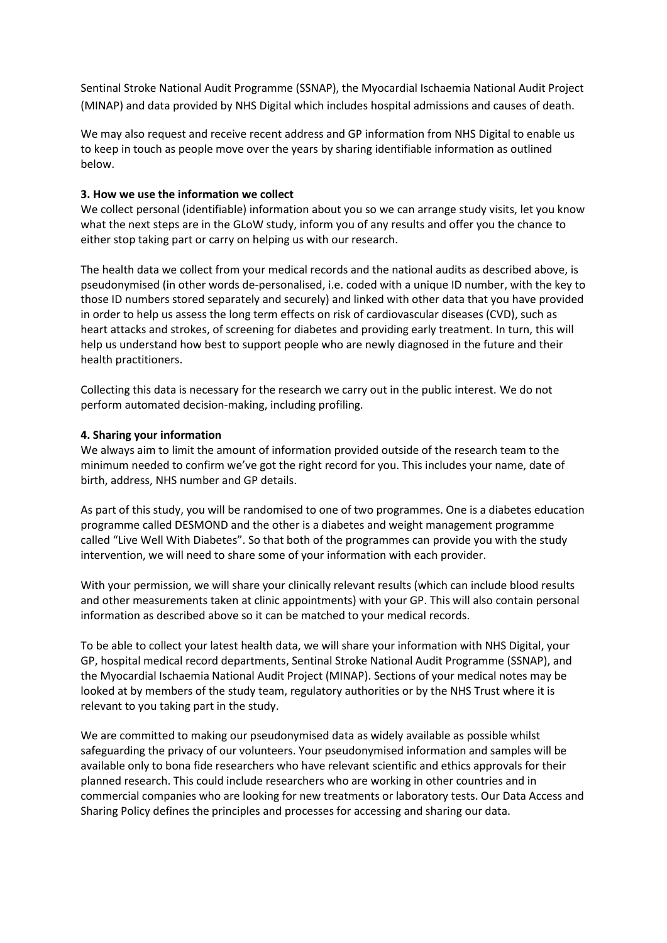Sentinal Stroke National Audit Programme (SSNAP), the Myocardial Ischaemia National Audit Project (MINAP) and data provided by NHS Digital which includes hospital admissions and causes of death.

We may also request and receive recent address and GP information from NHS Digital to enable us to keep in touch as people move over the years by sharing identifiable information as outlined below.

#### **3. How we use the information we collect**

We collect personal (identifiable) information about you so we can arrange study visits, let you know what the next steps are in the GLoW study, inform you of any results and offer you the chance to either stop taking part or carry on helping us with our research.

The health data we collect from your medical records and the national audits as described above, is pseudonymised (in other words de-personalised, i.e. coded with a unique ID number, with the key to those ID numbers stored separately and securely) and linked with other data that you have provided in order to help us assess the long term effects on risk of cardiovascular diseases (CVD), such as heart attacks and strokes, of screening for diabetes and providing early treatment. In turn, this will help us understand how best to support people who are newly diagnosed in the future and their health practitioners.

Collecting this data is necessary for the research we carry out in the public interest. We do not perform automated decision-making, including profiling.

#### **4. Sharing your information**

We always aim to limit the amount of information provided outside of the research team to the minimum needed to confirm we've got the right record for you. This includes your name, date of birth, address, NHS number and GP details.

As part of this study, you will be randomised to one of two programmes. One is a diabetes education programme called DESMOND and the other is a diabetes and weight management programme called "Live Well With Diabetes". So that both of the programmes can provide you with the study intervention, we will need to share some of your information with each provider.

With your permission, we will share your clinically relevant results (which can include blood results and other measurements taken at clinic appointments) with your GP. This will also contain personal information as described above so it can be matched to your medical records.

To be able to collect your latest health data, we will share your information with NHS Digital, your GP, hospital medical record departments, Sentinal Stroke National Audit Programme (SSNAP), and the Myocardial Ischaemia National Audit Project (MINAP). Sections of your medical notes may be looked at by members of the study team, regulatory authorities or by the NHS Trust where it is relevant to you taking part in the study.

We are committed to making our pseudonymised data as widely available as possible whilst safeguarding the privacy of our volunteers. Your pseudonymised information and samples will be available only to bona fide researchers who have relevant scientific and ethics approvals for their planned research. This could include researchers who are working in other countries and in commercial companies who are looking for new treatments or laboratory tests. Our Data Access and Sharing Policy defines the principles and processes for accessing and sharing our data.